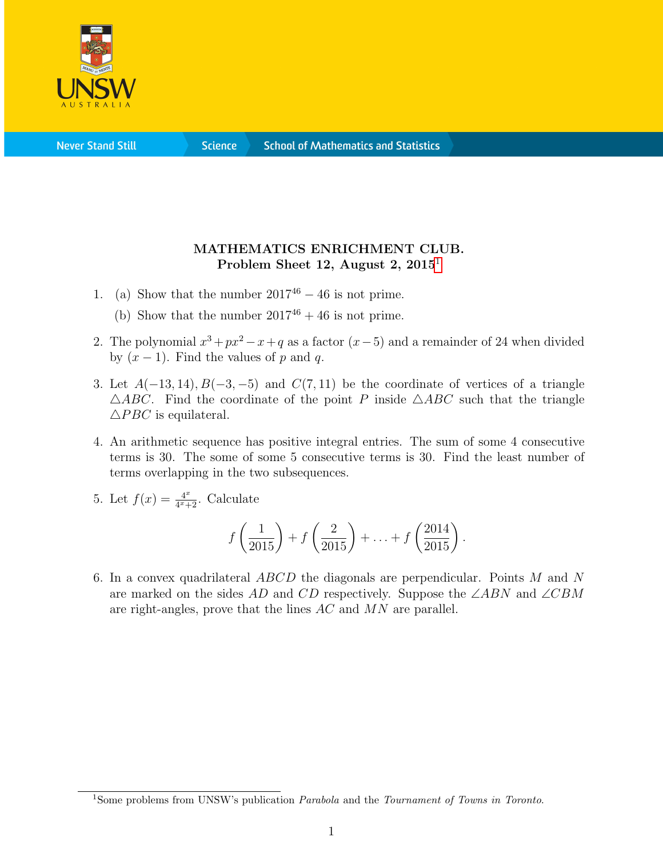

**Science** 

## MATHEMATICS ENRICHMENT CLUB. Problem Sheet [1](#page-0-0)2, August 2,  $2015<sup>1</sup>$

- 1. (a) Show that the number  $2017^{46} 46$  is not prime.
	- (b) Show that the number  $2017^{46} + 46$  is not prime.
- 2. The polynomial  $x^3 + px^2 x + q$  as a factor  $(x-5)$  and a remainder of 24 when divided by  $(x - 1)$ . Find the values of p and q.
- 3. Let  $A(-13, 14)$ ,  $B(-3, -5)$  and  $C(7, 11)$  be the coordinate of vertices of a triangle  $\triangle ABC$ . Find the coordinate of the point P inside  $\triangle ABC$  such that the triangle  $\triangle PBC$  is equilateral.
- 4. An arithmetic sequence has positive integral entries. The sum of some 4 consecutive terms is 30. The some of some 5 consecutive terms is 30. Find the least number of terms overlapping in the two subsequences.
- 5. Let  $f(x) = \frac{4^x}{4^x + 1}$  $\frac{4^x}{4^x+2}$ . Calculate

$$
f\left(\frac{1}{2015}\right) + f\left(\frac{2}{2015}\right) + \ldots + f\left(\frac{2014}{2015}\right).
$$

6. In a convex quadrilateral ABCD the diagonals are perpendicular. Points M and N are marked on the sides AD and CD respectively. Suppose the ∠ABN and ∠CBM are right-angles, prove that the lines AC and MN are parallel.

<span id="page-0-0"></span><sup>&</sup>lt;sup>1</sup>Some problems from UNSW's publication *Parabola* and the *Tournament of Towns in Toronto*.